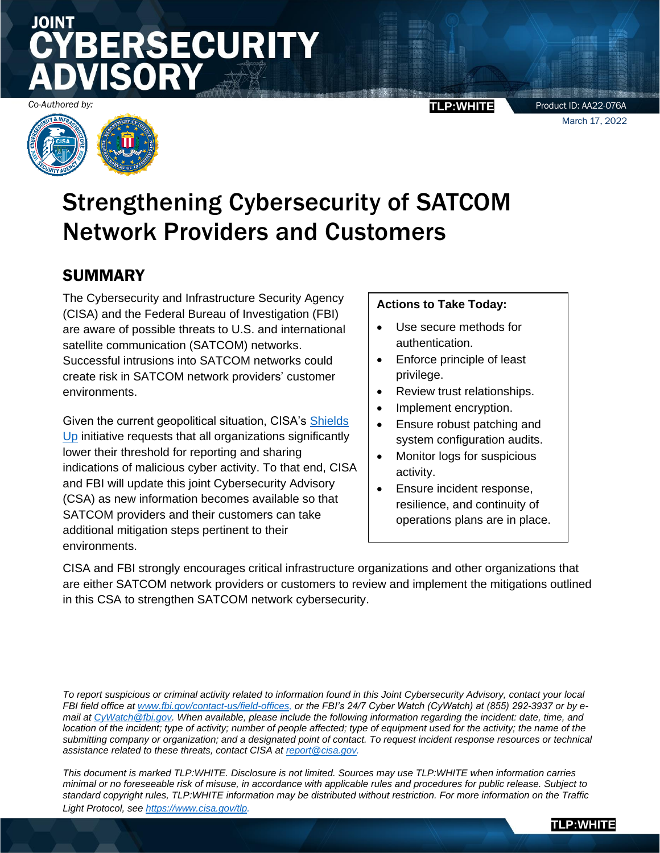# **SECURITY**

*Co-Authored by:* **TLP:WHITE** 



Product ID: AA22-076A

**TLP:WHITE** 

March 17, 2022

### Strengthening Cybersecurity of SATCOM Network Providers and Customers

#### SUMMARY

The Cybersecurity and Infrastructure Security Agency (CISA) and the Federal Bureau of Investigation (FBI) are aware of possible threats to U.S. and international satellite communication (SATCOM) networks. Successful intrusions into SATCOM networks could create risk in SATCOM network providers' customer environments.

Given the current geopolitical situation, CISA's [Shields](https://www.cisa.gov/shields-up)  [Up](https://www.cisa.gov/shields-up) initiative requests that all organizations significantly lower their threshold for reporting and sharing indications of malicious cyber activity. To that end, CISA and FBI will update this joint Cybersecurity Advisory (CSA) as new information becomes available so that SATCOM providers and their customers can take additional mitigation steps pertinent to their environments.

#### **Actions to Take Today:**

- Use secure methods for authentication.
- Enforce principle of least privilege.
- Review trust relationships.
- Implement encryption.
- Ensure robust patching and system configuration audits.
- Monitor logs for suspicious activity.
- Ensure incident response, resilience, and continuity of operations plans are in place.

CISA and FBI strongly encourages critical infrastructure organizations and other organizations that are either SATCOM network providers or customers to review and implement the mitigations outlined in this CSA to strengthen SATCOM network cybersecurity.

FBIfield office at www.fbi.gov/contact-us/field-offices, or the FBI's 24/7 Cyber Watch (CyWatch) at (855) 292-3937 or by emailat *CyWatch@fbi.gov.* When available, please include the following information regarding the incident: date, time, and assistance related to these threats, contact CISA at **report @cisa.gov**. *To report suspicious or criminal activity related to information found in this Joint Cybersecurity Advisory, contact your local location of the incident; type of activity; number of people affected; type of equipment used for the activity; the name of the submitting company or organization; and a designated point of contact. To request incident response resources or technical* 

*[https://www.cisa.gov/tlp.](https://www.cisa.gov/tlp)* **TLP** *Light Protocol, seeThis document is marked TLP:WHITE. Disclosure is not limited. Sources may use TLP:WHITE when information carries minimal or no foreseeable risk of misuse, in accordance with applicable rules and procedures for public release. Subject to standard copyright rules, TLP:WHITE information may be distributed without restriction. For more information on the Traffic*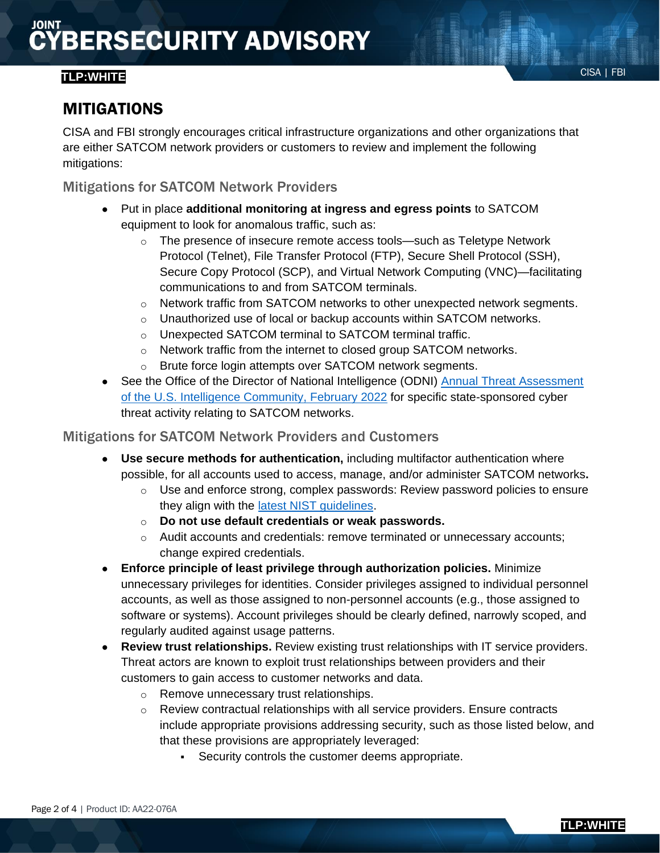#### CISA | FBI **TLP:WHITE**

#### MITIGATIONS

CISA and FBI strongly encourages critical infrastructure organizations and other organizations that are either SATCOM network providers or customers to review and implement the following mitigations:

Mitigations for SATCOM Network Providers

- Put in place **additional monitoring at ingress and egress points** to SATCOM equipment to look for anomalous traffic, such as:
	- $\circ$  The presence of insecure remote access tools—such as Teletype Network Protocol (Telnet), File Transfer Protocol (FTP), Secure Shell Protocol (SSH), Secure Copy Protocol (SCP), and Virtual Network Computing (VNC)—facilitating communications to and from SATCOM terminals.
	- $\circ$  Network traffic from SATCOM networks to other unexpected network segments.
	- o Unauthorized use of local or backup accounts within SATCOM networks.
	- o Unexpected SATCOM terminal to SATCOM terminal traffic.
	- o Network traffic from the internet to closed group SATCOM networks.
	- o Brute force login attempts over SATCOM network segments.
- See the Office of the Director of National Intelligence (ODNI) [Annual Threat](https://www.dni.gov/files/ODNI/documents/assessments/ATA-2022-Unclassified-Report.pdf) Assessment [of the U.S. Intelligence Community, February 2022](https://www.dni.gov/files/ODNI/documents/assessments/ATA-2022-Unclassified-Report.pdf) for specific state-sponsored cyber threat activity relating to SATCOM networks.

#### Mitigations for SATCOM Network Providers and Customers

- **Use secure methods for authentication,** including multifactor authentication where possible, for all accounts used to access, manage, and/or administer SATCOM networks**.** 
	- $\circ$  Use and enforce strong, complex passwords: Review password policies to ensure they align with the [latest NIST guidelines.](https://csrc.nist.gov/publications/detail/sp/800-63b/final)
	- o **Do not use default credentials or weak passwords.**
	- $\circ$  Audit accounts and credentials: remove terminated or unnecessary accounts; change expired credentials.
- **Enforce principle of least privilege through authorization policies.** Minimize unnecessary privileges for identities. Consider privileges assigned to individual personnel accounts, as well as those assigned to non-personnel accounts (e.g., those assigned to software or systems). Account privileges should be clearly defined, narrowly scoped, and regularly audited against usage patterns.
- **Review trust relationships.** Review existing trust relationships with IT service providers. Threat actors are known to exploit trust relationships between providers and their customers to gain access to customer networks and data.
	- o Remove unnecessary trust relationships.
	- $\circ$  Review contractual relationships with all service providers. Ensure contracts include appropriate provisions addressing security, such as those listed below, and that these provisions are appropriately leveraged:
		- Security controls the customer deems appropriate.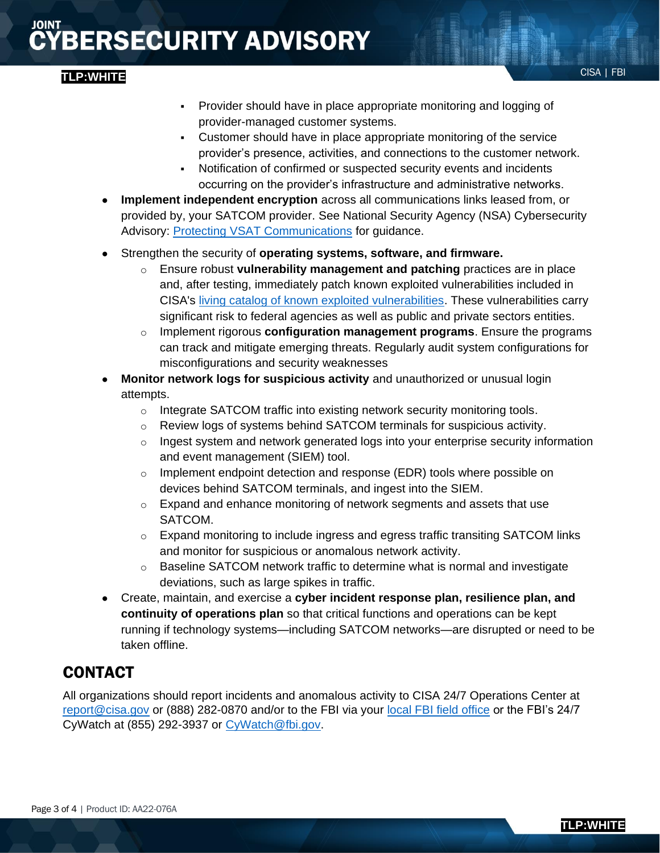## **BERSECURITY ADVISORY**

#### CISA | FBI **TLP:WHITE**

- **Provider should have in place appropriate monitoring and logging of** provider-managed customer systems.
- Customer should have in place appropriate monitoring of the service provider's presence, activities, and connections to the customer network.
- Notification of confirmed or suspected security events and incidents occurring on the provider's infrastructure and administrative networks.
- **Implement independent encryption** across all communications links leased from, or provided by, your SATCOM provider. See National Security Agency (NSA) Cybersecurity Advisory: Protecting [VSAT Communications](https://www.nsa.gov/Press-Room/News-Highlights/Article/Article/2910409/nsa-issues-recommendations-to-protect-vsat-communications/) for guidance.
- Strengthen the security of **operating systems, software, and firmware.** 
	- o Ensure robust **vulnerability management and patching** practices are in place and, after testing, immediately patch known exploited vulnerabilities included in CISA's [living catalog of known exploited vulnerabilities.](https://cisa.gov/known-exploited-vulnerabilities) These vulnerabilities carry significant risk to federal agencies as well as public and private sectors entities.
	- o Implement rigorous **configuration management programs**. Ensure the programs can track and mitigate emerging threats. Regularly audit system configurations for misconfigurations and security weaknesses
- **Monitor network logs for suspicious activity** and unauthorized or unusual login attempts.
	- o Integrate SATCOM traffic into existing network security monitoring tools.
	- o Review logs of systems behind SATCOM terminals for suspicious activity.
	- $\circ$  Ingest system and network generated logs into your enterprise security information and event management (SIEM) tool.
	- $\circ$  Implement endpoint detection and response (EDR) tools where possible on devices behind SATCOM terminals, and ingest into the SIEM.
	- $\circ$  Expand and enhance monitoring of network segments and assets that use SATCOM.
	- $\circ$  Expand monitoring to include ingress and egress traffic transiting SATCOM links and monitor for suspicious or anomalous network activity.
	- $\circ$  Baseline SATCOM network traffic to determine what is normal and investigate deviations, such as large spikes in traffic.
- Create, maintain, and exercise a **cyber incident response plan, resilience plan, and continuity of operations plan** so that critical functions and operations can be kept running if technology systems—including SATCOM networks—are disrupted or need to be taken offline.

#### CONTACT

All organizations should report incidents and anomalous activity to CISA 24/7 Operations Center at [report@cisa.gov](mailto:report@cisa.gov) or (888) 282-0870 and/or to the FBI via your [local FBI field office](https://www.fbi.gov/contact-us/field-offices) or the FBI's 24/7 CyWatch at (855) 292-3937 or [CyWatch@fbi.gov.](mailto:CyWatch@fbi.gov)